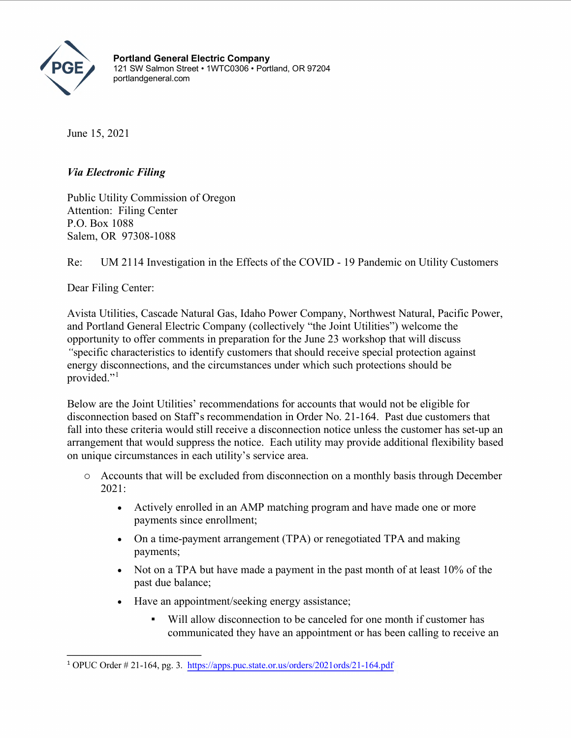

**Portland General Electric Company** 121 SW Salmon Street • 1WTC0306 • Portland, OR 97204 portlandgeneral.com

June 15, 2021

## *Via Electronic Filing*

Public Utility Commission of Oregon Attention: Filing Center P.O. Box 1088 Salem, OR 97308-1088

Re: UM 2114 Investigation in the Effects of the COVID - 19 Pandemic on Utility Customers

Dear Filing Center:

Avista Utilities, Cascade Natural Gas, Idaho Power Company, Northwest Natural, Pacific Power, and Portland General Electric Company (collectively "the Joint Utilities") welcome the opportunity to offer comments in preparation for the June 23 workshop that will discuss *"*specific characteristics to identify customers that should receive special protection against energy disconnections, and the circumstances under which such protections should be provided."<sup>[1](#page-0-0)</sup>

Below are the Joint Utilities' recommendations for accounts that would not be eligible for disconnection based on Staff's recommendation in Order No. 21-164. Past due customers that fall into these criteria would still receive a disconnection notice unless the customer has set-up an arrangement that would suppress the notice. Each utility may provide additional flexibility based on unique circumstances in each utility's service area.

- o Accounts that will be excluded from disconnection on a monthly basis through December 2021:
	- Actively enrolled in an AMP matching program and have made one or more payments since enrollment;
	- On a time-payment arrangement (TPA) or renegotiated TPA and making payments;
	- Not on a TPA but have made a payment in the past month of at least 10% of the past due balance;
	- Have an appointment/seeking energy assistance;
		- Will allow disconnection to be canceled for one month if customer has communicated they have an appointment or has been calling to receive an

<span id="page-0-0"></span><sup>1</sup> OPUC Order # 21-164, pg. 3. <https://apps.puc.state.or.us/orders/2021ords/21-164.pdf>